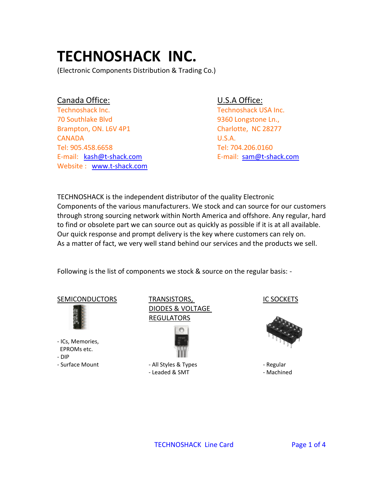# **TECHNOSHACK INC.**

(Electronic Components Distribution & Trading Co.)

## Canada Office: U.S.A Office:

Technoshack Inc. Technoshack USA Inc. 70 Southlake Blvd **120 Southlake Blvd** 9360 Longstone Ln., Brampton, ON. L6V 4P1 Charlotte, NC 28277 CANADA U.S.A. Tel: 905.458.6658 Tel: 704.206.0160 E-mail: [kash@t-shack.com](mailto:kash@t-shack.com) E-mail: [sam@t-shack.com](mailto:sam@t-shack.com) Website : [www.t-shack.com](http://www.t-shack.com/)

TECHNOSHACK is the independent distributor of the quality Electronic Components of the various manufacturers. We stock and can source for our customers through strong sourcing network within North America and offshore. Any regular, hard to find or obsolete part we can source out as quickly as possible if it is at all available. Our quick response and prompt delivery is the key where customers can rely on. As a matter of fact, we very well stand behind our services and the products we sell.

Following is the list of components we stock & source on the regular basis: -

### SEMICONDUCTORS TRANSISTORS, IC SOCKETS



- ICs, Memories, EPROMs etc. - DIP

 DIODES & VOLTAGE REGULATORS



- Surface Mount - All Styles & Types - And Styles - Regular - Leaded & SMT - Machined



TECHNOSHACK Line Card Page 1 of 4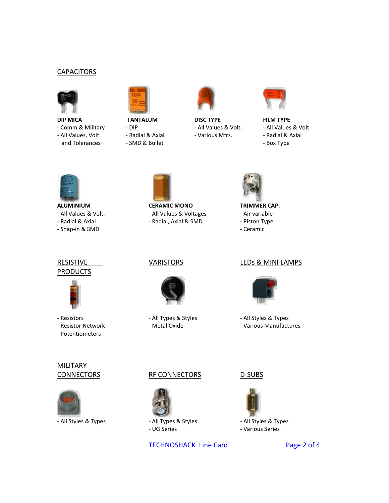#### **CAPACITORS**



- Comm.& Military - DIP - All Values & Volt. - All Values & Volt - All Values, Volt - Radial & Axial - Various Mfrs. - - Radial & Axial



- 
- and Tolerances  **SMD & Bullet Box Type** Box Type



**DIP MICA TANTALUM DISC TYPE FILM TYPE**



- 
- 
- 



- 
- Snap-in & SMD Ceramic



**ALUMINIUM CERAMIC MONO TRIMMER CAP.** - All Values & Volt.  $\blacksquare$  - All Values & Voltages - Air variable - Radial & Axial - Radial, Axial & SMD - Piston Type



- 
- 
- 

**PRODUCTS** 



- 
- 
- Potentiometers





- Resistor Network - Metal Oxide - Various Manufactures

#### RESISTIVE VARISTORS LEDs & MINI LAMPS



- Resistors - All Types & Styles - All Styles & Types

MILITARY



- All Styles & Types - All Types & Styles - All Styles & Types





- UG Series - Various Series

TECHNOSHACK Line Card Page 2 of 4

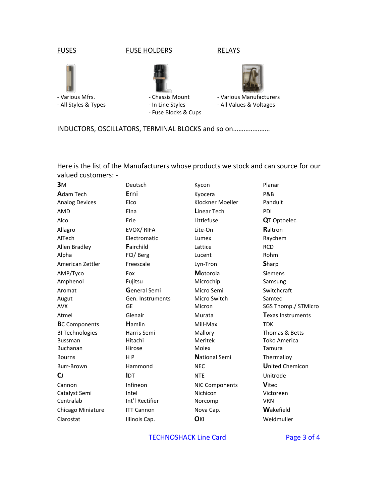

INDUCTORS, OSCILLATORS, TERMINAL BLOCKS and so on.....................

Here is the list of the Manufacturers whose products we stock and can source for our valued customers: -

| 3M                     | Deutsch             | Kycon                 | Planar                     |
|------------------------|---------------------|-----------------------|----------------------------|
| <b>A</b> dam Tech      | Erni                | Kyocera               | P&B                        |
| <b>Analog Devices</b>  | Elco                | Klockner Moeller      | Panduit                    |
| AMD                    | Elna                | <b>Linear Tech</b>    | PDI                        |
| Alco                   | Erie                | Littlefuse            | QT Optoelec.               |
| Allagro                | EVOX/RIFA           | Lite-On               | Raltron                    |
| AlTech                 | Electromatic        | Lumex                 | Raychem                    |
| Allen Bradley          | Fairchild           | Lattice               | <b>RCD</b>                 |
| Alpha                  | FCI/Berg            | Lucent                | Rohm                       |
| American Zettler       | Freescale           | Lyn-Tron              | <b>Sharp</b>               |
| AMP/Tyco               | Fox                 | Motorola              | <b>Siemens</b>             |
| Amphenol               | Fujitsu             | Microchip             | Samsung                    |
| Aromat                 | <b>General Semi</b> | Micro Semi            | Switchcraft                |
| Augut                  | Gen. Instruments    | Micro Switch          | Samtec                     |
| <b>AVX</b>             | <b>GE</b>           | Micron                | <b>SGS Thomp./ STMicro</b> |
| Atmel                  | Glenair             | Murata                | Texas Instruments          |
| <b>BC</b> Components   | Hamlin              | Mill-Max              | <b>TDK</b>                 |
| <b>BI Technologies</b> | Harris Semi         | Mallory               | Thomas & Betts             |
| <b>Bussman</b>         | Hitachi             | Meritek               | <b>Toko America</b>        |
| Buchanan               | Hirose              | Molex                 | Tamura                     |
| <b>Bourns</b>          | H <sub>P</sub>      | <b>National Semi</b>  | Thermalloy                 |
| Burr-Brown             | Hammond             | <b>NEC</b>            | <b>United Chemicon</b>     |
| <b>C</b> J             | <b>IDT</b>          | <b>NTE</b>            | Unitrode                   |
| Cannon                 | Infineon            | <b>NIC Components</b> | <b>Vitec</b>               |
| Catalyst Semi          | Intel               | Nichicon              | Victoreen                  |
| Centralab              | Int'l Rectifier     | Norcomp               | <b>VRN</b>                 |
| Chicago Miniature      | <b>ITT Cannon</b>   | Nova Cap.             | Wakefield                  |
| Clarostat              | Illinois Cap.       | OKI                   | Weidmuller                 |

#### **TECHNOSHACK Line Card**

Page 3 of 4